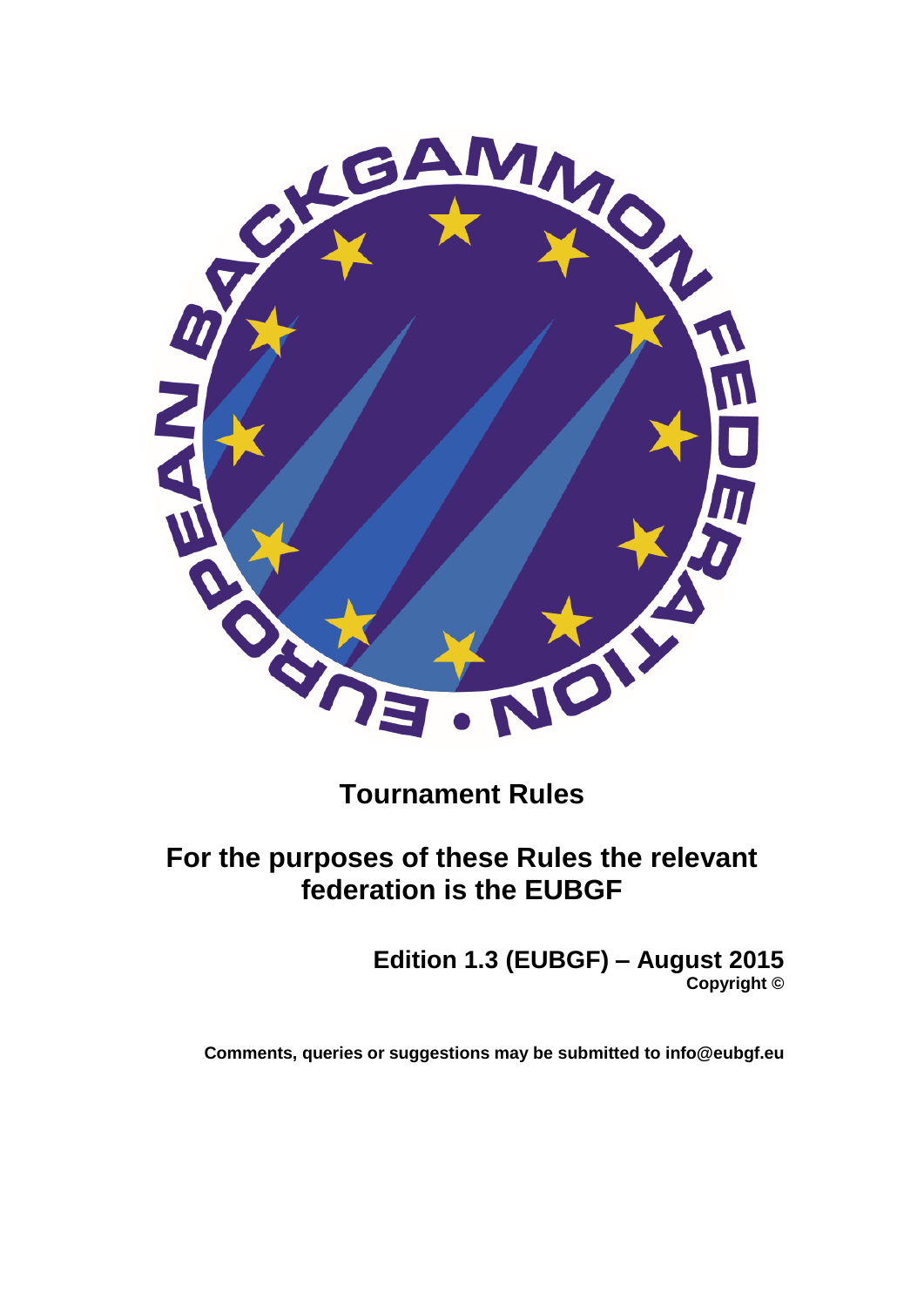

# **Tournament Rules**

# **For the purposes of these Rules the relevant federation is the EUBGF**

**Edition 1.3 (EUBGF) – August 2015 Copyright ©**

**Comments, queries or suggestions may be submitted to info@eubgf.eu**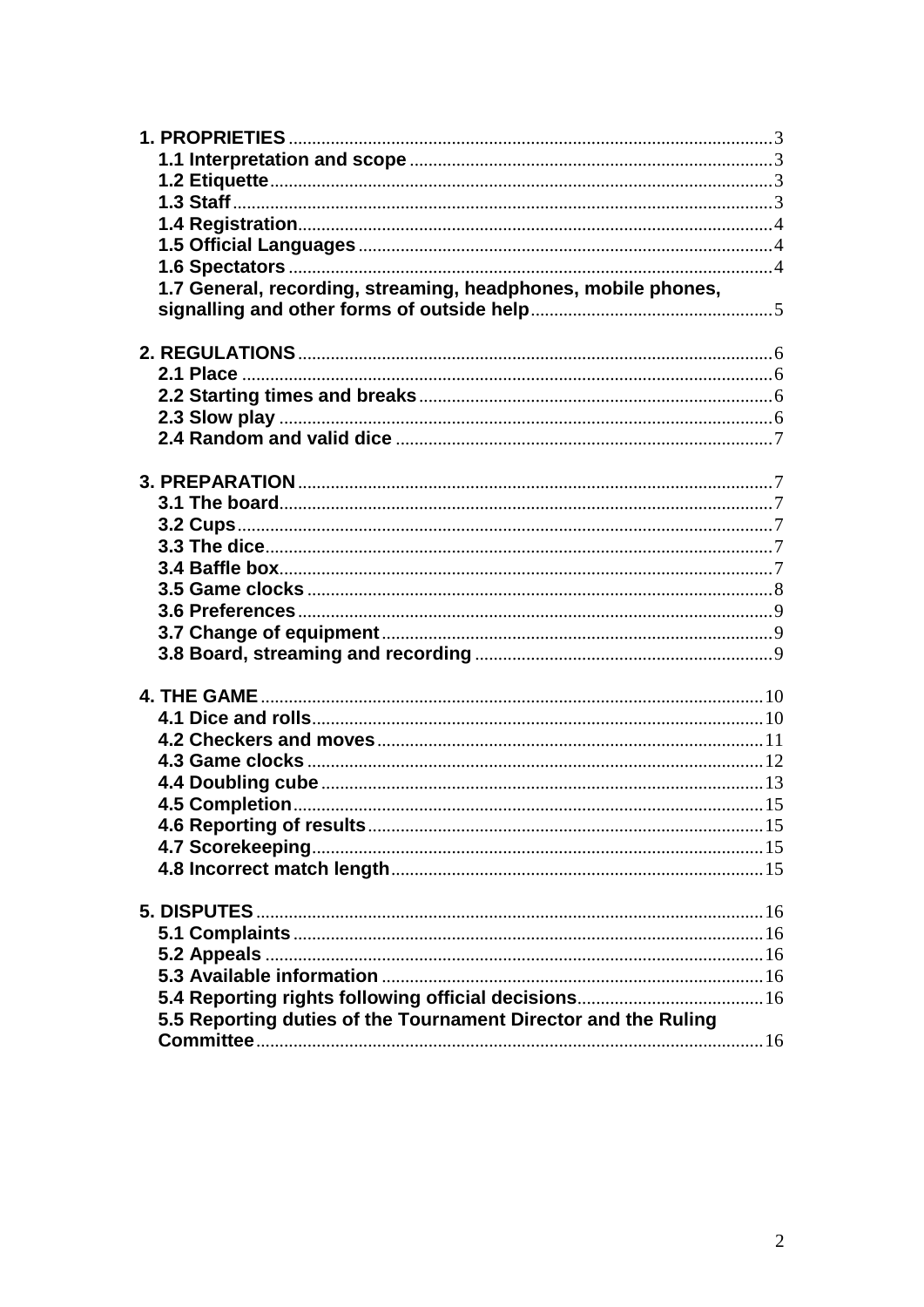| 1.7 General, recording, streaming, headphones, mobile phones,  |  |
|----------------------------------------------------------------|--|
|                                                                |  |
|                                                                |  |
|                                                                |  |
|                                                                |  |
|                                                                |  |
|                                                                |  |
|                                                                |  |
|                                                                |  |
|                                                                |  |
|                                                                |  |
|                                                                |  |
|                                                                |  |
|                                                                |  |
|                                                                |  |
|                                                                |  |
|                                                                |  |
|                                                                |  |
|                                                                |  |
|                                                                |  |
|                                                                |  |
|                                                                |  |
|                                                                |  |
|                                                                |  |
|                                                                |  |
|                                                                |  |
|                                                                |  |
|                                                                |  |
|                                                                |  |
|                                                                |  |
|                                                                |  |
|                                                                |  |
|                                                                |  |
|                                                                |  |
| 5.5 Reporting duties of the Tournament Director and the Ruling |  |
|                                                                |  |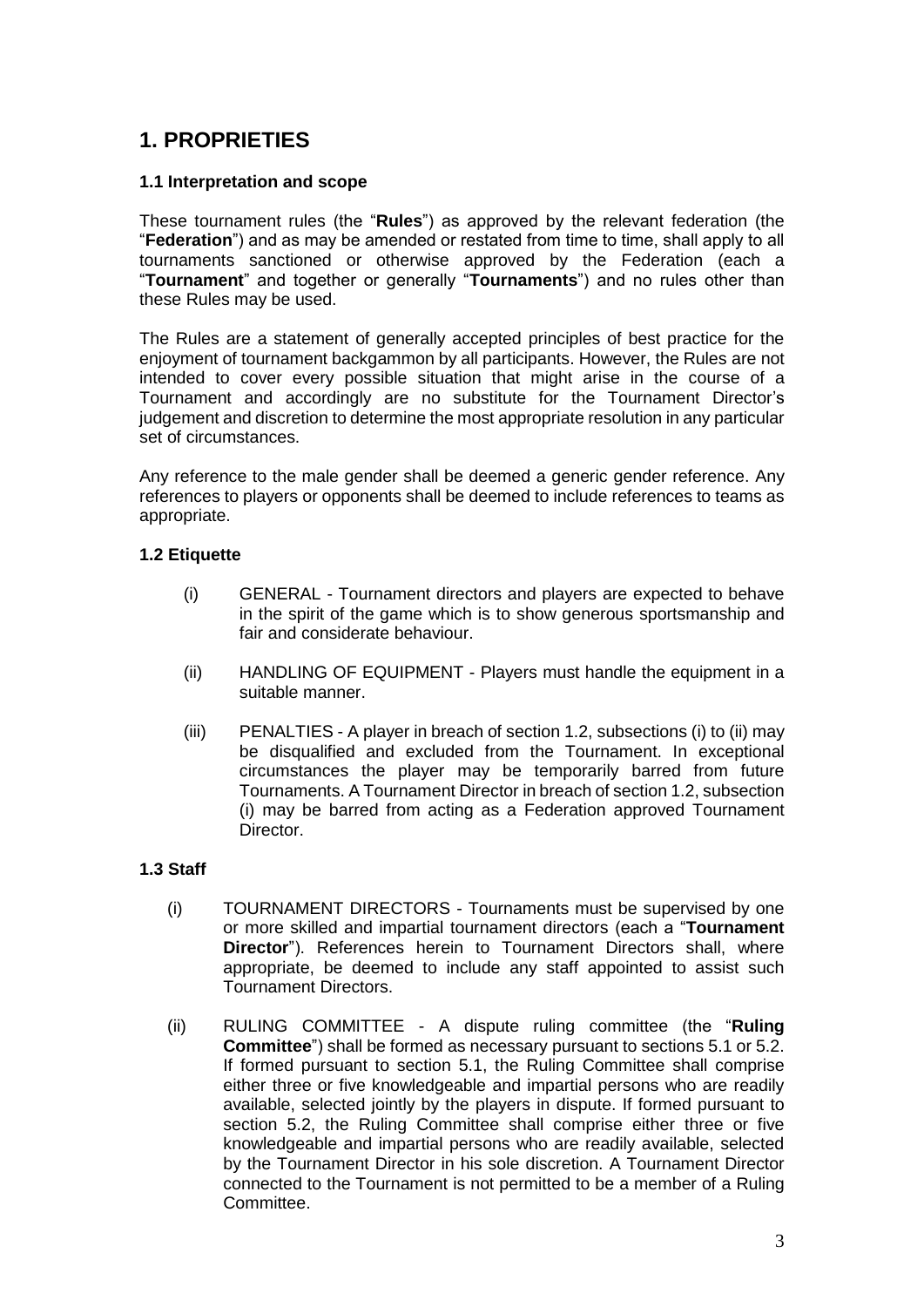# <span id="page-2-0"></span>**1. PROPRIETIES**

#### <span id="page-2-1"></span>**1.1 Interpretation and scope**

These tournament rules (the "**Rules**") as approved by the relevant federation (the "**Federation**") and as may be amended or restated from time to time, shall apply to all tournaments sanctioned or otherwise approved by the Federation (each a "**Tournament**" and together or generally "**Tournaments**") and no rules other than these Rules may be used.

The Rules are a statement of generally accepted principles of best practice for the enjoyment of tournament backgammon by all participants. However, the Rules are not intended to cover every possible situation that might arise in the course of a Tournament and accordingly are no substitute for the Tournament Director's judgement and discretion to determine the most appropriate resolution in any particular set of circumstances.

Any reference to the male gender shall be deemed a generic gender reference. Any references to players or opponents shall be deemed to include references to teams as appropriate.

### **1.2 Etiquette**

- <span id="page-2-2"></span>(i) GENERAL - Tournament directors and players are expected to behave in the spirit of the game which is to show generous sportsmanship and fair and considerate behaviour.
- (ii) HANDLING OF EQUIPMENT Players must handle the equipment in a suitable manner.
- (iii) PENALTIES A player in breach of section 1.2, subsections (i) to (ii) may be disqualified and excluded from the Tournament. In exceptional circumstances the player may be temporarily barred from future Tournaments. A Tournament Director in breach of section 1.2, subsection (i) may be barred from acting as a Federation approved Tournament Director.

#### **1.3 Staff**

- <span id="page-2-3"></span>(i) TOURNAMENT DIRECTORS - Tournaments must be supervised by one or more skilled and impartial tournament directors (each a "**Tournament Director**"). References herein to Tournament Directors shall, where appropriate, be deemed to include any staff appointed to assist such Tournament Directors.
- (ii) RULING COMMITTEE A dispute ruling committee (the "**Ruling Committee**") shall be formed as necessary pursuant to sections 5.1 or 5.2. If formed pursuant to section 5.1, the Ruling Committee shall comprise either three or five knowledgeable and impartial persons who are readily available, selected jointly by the players in dispute. If formed pursuant to section 5.2, the Ruling Committee shall comprise either three or five knowledgeable and impartial persons who are readily available, selected by the Tournament Director in his sole discretion. A Tournament Director connected to the Tournament is not permitted to be a member of a Ruling Committee.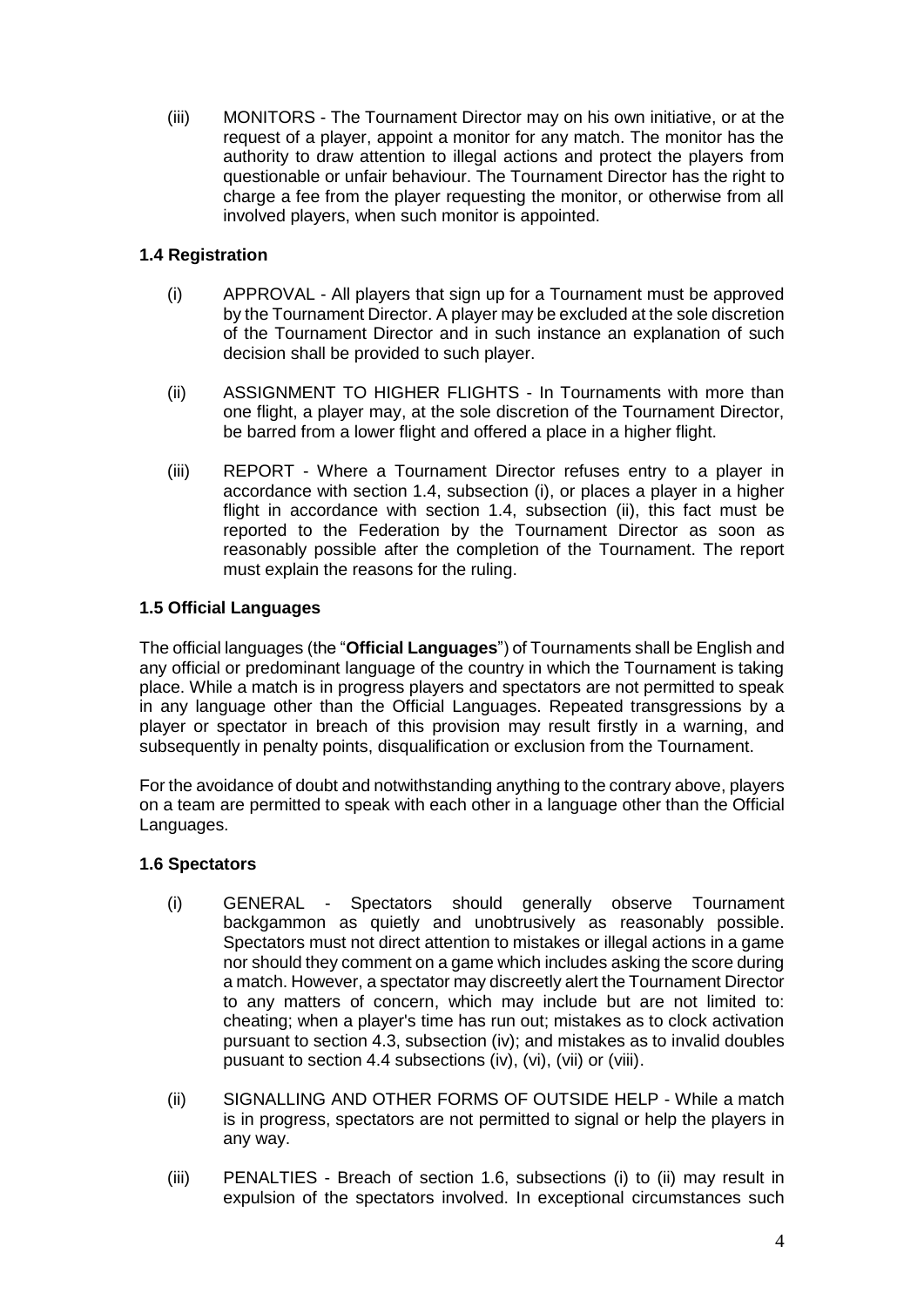(iii) MONITORS - The Tournament Director may on his own initiative, or at the request of a player, appoint a monitor for any match. The monitor has the authority to draw attention to illegal actions and protect the players from questionable or unfair behaviour. The Tournament Director has the right to charge a fee from the player requesting the monitor, or otherwise from all involved players, when such monitor is appointed.

# **1.4 Registration**

- <span id="page-3-0"></span>(i) APPROVAL - All players that sign up for a Tournament must be approved by the Tournament Director. A player may be excluded at the sole discretion of the Tournament Director and in such instance an explanation of such decision shall be provided to such player.
- (ii) ASSIGNMENT TO HIGHER FLIGHTS In Tournaments with more than one flight, a player may, at the sole discretion of the Tournament Director, be barred from a lower flight and offered a place in a higher flight.
- (iii) REPORT Where a Tournament Director refuses entry to a player in accordance with section 1.4, subsection (i), or places a player in a higher flight in accordance with section 1.4, subsection (ii), this fact must be reported to the Federation by the Tournament Director as soon as reasonably possible after the completion of the Tournament. The report must explain the reasons for the ruling.

# <span id="page-3-1"></span>**1.5 Official Languages**

The official languages (the "**Official Languages**") of Tournaments shall be English and any official or predominant language of the country in which the Tournament is taking place. While a match is in progress players and spectators are not permitted to speak in any language other than the Official Languages. Repeated transgressions by a player or spectator in breach of this provision may result firstly in a warning, and subsequently in penalty points, disqualification or exclusion from the Tournament.

For the avoidance of doubt and notwithstanding anything to the contrary above, players on a team are permitted to speak with each other in a language other than the Official Languages.

### **1.6 Spectators**

- <span id="page-3-2"></span>(i) GENERAL - Spectators should generally observe Tournament backgammon as quietly and unobtrusively as reasonably possible. Spectators must not direct attention to mistakes or illegal actions in a game nor should they comment on a game which includes asking the score during a match. However, a spectator may discreetly alert the Tournament Director to any matters of concern, which may include but are not limited to: cheating; when a player's time has run out; mistakes as to clock activation pursuant to section 4.3, subsection (iv); and mistakes as to invalid doubles pusuant to section 4.4 subsections (iv), (vi), (vii) or (viii).
- (ii) SIGNALLING AND OTHER FORMS OF OUTSIDE HELP While a match is in progress, spectators are not permitted to signal or help the players in any way.
- (iii) PENALTIES Breach of section 1.6, subsections (i) to (ii) may result in expulsion of the spectators involved. In exceptional circumstances such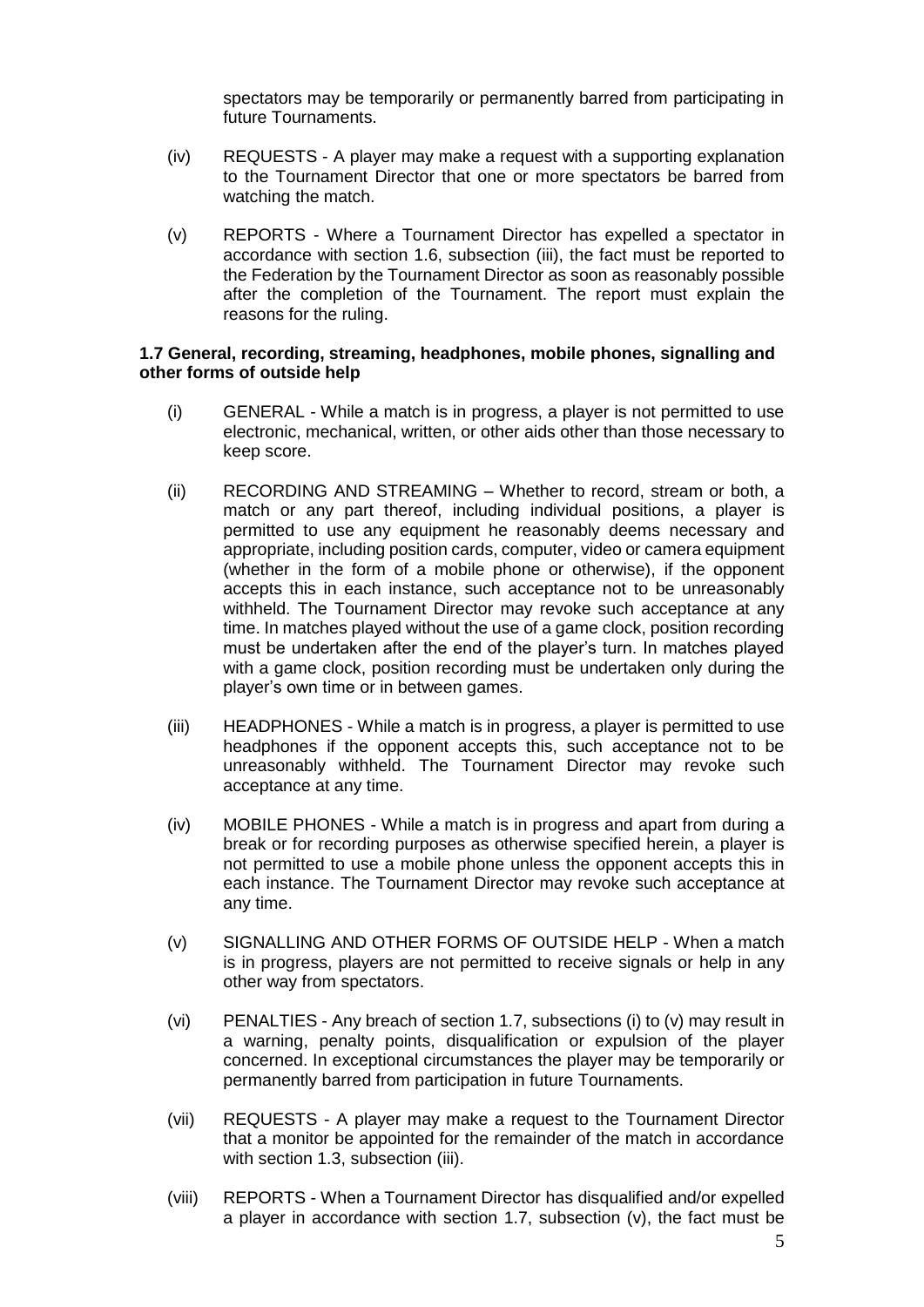spectators may be temporarily or permanently barred from participating in future Tournaments.

- (iv) REQUESTS A player may make a request with a supporting explanation to the Tournament Director that one or more spectators be barred from watching the match.
- (v) REPORTS Where a Tournament Director has expelled a spectator in accordance with section 1.6, subsection (iii), the fact must be reported to the Federation by the Tournament Director as soon as reasonably possible after the completion of the Tournament. The report must explain the reasons for the ruling.

#### **1.7 General, recording, streaming, headphones, mobile phones, signalling and other forms of outside help**

- <span id="page-4-0"></span>(i) GENERAL - While a match is in progress, a player is not permitted to use electronic, mechanical, written, or other aids other than those necessary to keep score.
- (ii) RECORDING AND STREAMING Whether to record, stream or both, a match or any part thereof, including individual positions, a player is permitted to use any equipment he reasonably deems necessary and appropriate, including position cards, computer, video or camera equipment (whether in the form of a mobile phone or otherwise), if the opponent accepts this in each instance, such acceptance not to be unreasonably withheld. The Tournament Director may revoke such acceptance at any time. In matches played without the use of a game clock, position recording must be undertaken after the end of the player's turn. In matches played with a game clock, position recording must be undertaken only during the player's own time or in between games.
- (iii) HEADPHONES While a match is in progress, a player is permitted to use headphones if the opponent accepts this, such acceptance not to be unreasonably withheld. The Tournament Director may revoke such acceptance at any time.
- (iv) MOBILE PHONES While a match is in progress and apart from during a break or for recording purposes as otherwise specified herein, a player is not permitted to use a mobile phone unless the opponent accepts this in each instance. The Tournament Director may revoke such acceptance at any time.
- (v) SIGNALLING AND OTHER FORMS OF OUTSIDE HELP When a match is in progress, players are not permitted to receive signals or help in any other way from spectators.
- (vi) PENALTIES Any breach of section 1.7, subsections (i) to (v) may result in a warning, penalty points, disqualification or expulsion of the player concerned. In exceptional circumstances the player may be temporarily or permanently barred from participation in future Tournaments.
- (vii) REQUESTS A player may make a request to the Tournament Director that a monitor be appointed for the remainder of the match in accordance with section 1.3, subsection (iii).
- (viii) REPORTS When a Tournament Director has disqualified and/or expelled a player in accordance with section 1.7, subsection (v), the fact must be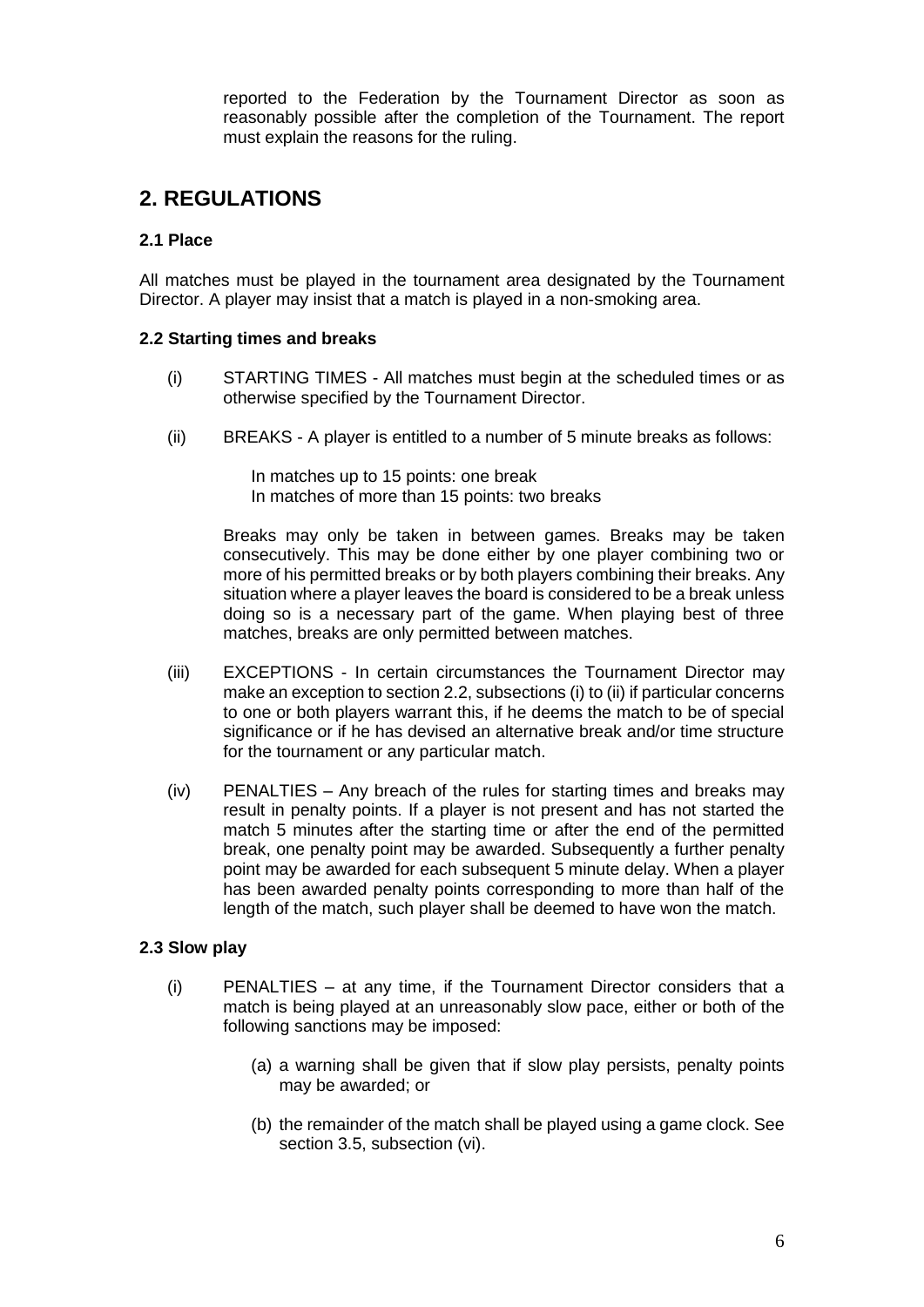<span id="page-5-0"></span>reported to the Federation by the Tournament Director as soon as reasonably possible after the completion of the Tournament. The report must explain the reasons for the ruling.

# **2. REGULATIONS**

#### <span id="page-5-1"></span>**2.1 Place**

All matches must be played in the tournament area designated by the Tournament Director. A player may insist that a match is played in a non-smoking area.

#### **2.2 Starting times and breaks**

- (i) STARTING TIMES All matches must begin at the scheduled times or as otherwise specified by the Tournament Director.
- (ii) BREAKS A player is entitled to a number of 5 minute breaks as follows:

<span id="page-5-2"></span>In matches up to 15 points: one break In matches of more than 15 points: two breaks

Breaks may only be taken in between games. Breaks may be taken consecutively. This may be done either by one player combining two or more of his permitted breaks or by both players combining their breaks. Any situation where a player leaves the board is considered to be a break unless doing so is a necessary part of the game. When playing best of three matches, breaks are only permitted between matches.

- (iii) EXCEPTIONS In certain circumstances the Tournament Director may make an exception to section 2.2, subsections (i) to (ii) if particular concerns to one or both players warrant this, if he deems the match to be of special significance or if he has devised an alternative break and/or time structure for the tournament or any particular match.
- (iv) PENALTIES Any breach of the rules for starting times and breaks may result in penalty points. If a player is not present and has not started the match 5 minutes after the starting time or after the end of the permitted break, one penalty point may be awarded. Subsequently a further penalty point may be awarded for each subsequent 5 minute delay. When a player has been awarded penalty points corresponding to more than half of the length of the match, such player shall be deemed to have won the match.

#### **2.3 Slow play**

- <span id="page-5-3"></span>(i) PENALTIES – at any time, if the Tournament Director considers that a match is being played at an unreasonably slow pace, either or both of the following sanctions may be imposed:
	- (a) a warning shall be given that if slow play persists, penalty points may be awarded; or
	- (b) the remainder of the match shall be played using a game clock. See section 3.5, subsection (vi).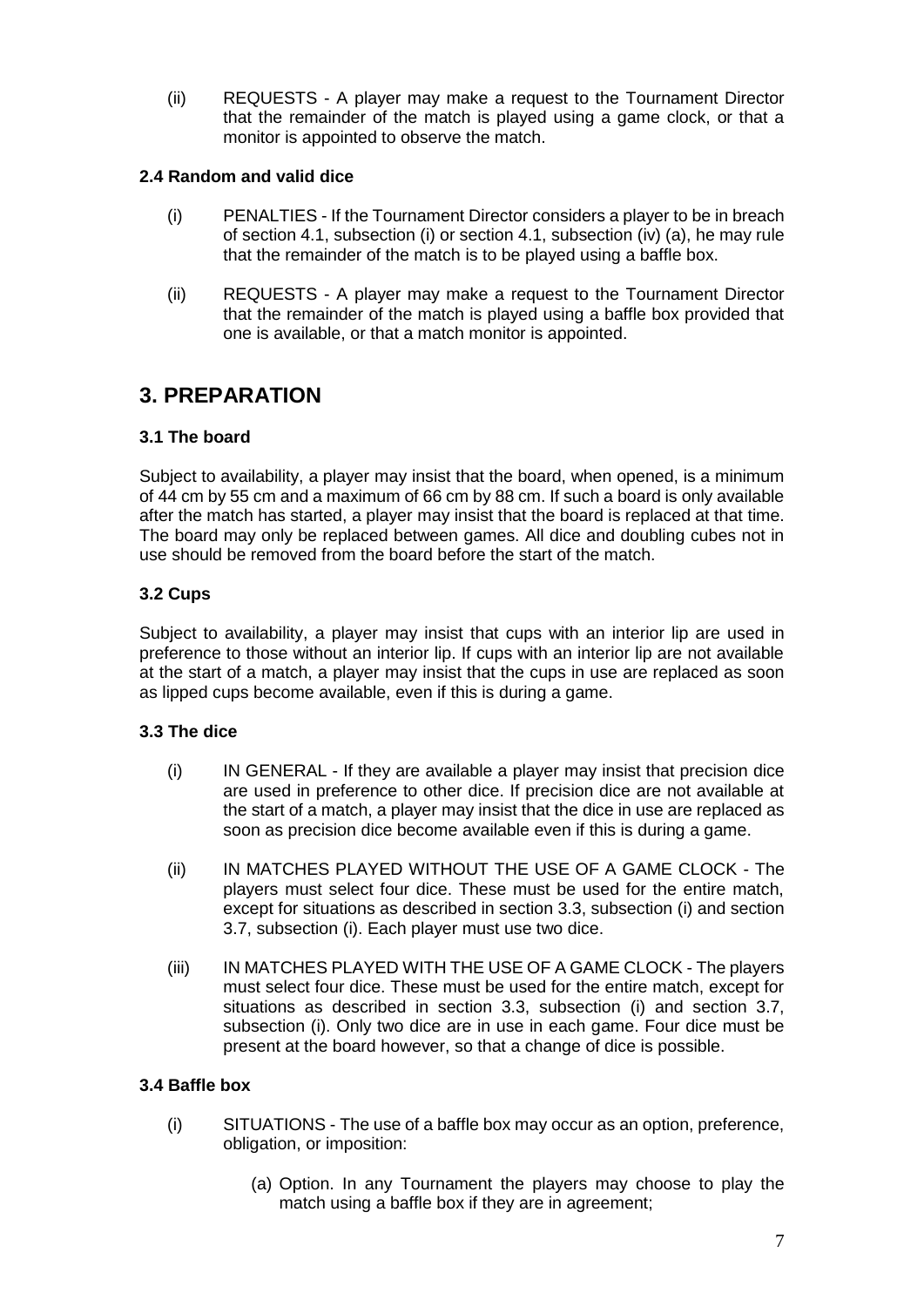(ii) REQUESTS - A player may make a request to the Tournament Director that the remainder of the match is played using a game clock, or that a monitor is appointed to observe the match.

### **2.4 Random and valid dice**

- <span id="page-6-0"></span>(i) PENALTIES - If the Tournament Director considers a player to be in breach of section 4.1, subsection (i) or section 4.1, subsection (iv) (a), he may rule that the remainder of the match is to be played using a baffle box.
- (ii) REQUESTS A player may make a request to the Tournament Director that the remainder of the match is played using a baffle box provided that one is available, or that a match monitor is appointed.

# <span id="page-6-1"></span>**3. PREPARATION**

### <span id="page-6-2"></span>**3.1 The board**

Subject to availability, a player may insist that the board, when opened, is a minimum of 44 cm by 55 cm and a maximum of 66 cm by 88 cm. If such a board is only available after the match has started, a player may insist that the board is replaced at that time. The board may only be replaced between games. All dice and doubling cubes not in use should be removed from the board before the start of the match.

### <span id="page-6-3"></span>**3.2 Cups**

Subject to availability, a player may insist that cups with an interior lip are used in preference to those without an interior lip. If cups with an interior lip are not available at the start of a match, a player may insist that the cups in use are replaced as soon as lipped cups become available, even if this is during a game.

#### **3.3 The dice**

- <span id="page-6-4"></span>(i) IN GENERAL - If they are available a player may insist that precision dice are used in preference to other dice. If precision dice are not available at the start of a match, a player may insist that the dice in use are replaced as soon as precision dice become available even if this is during a game.
- (ii) IN MATCHES PLAYED WITHOUT THE USE OF A GAME CLOCK The players must select four dice. These must be used for the entire match, except for situations as described in section 3.3, subsection (i) and section 3.7, subsection (i). Each player must use two dice.
- (iii) IN MATCHES PLAYED WITH THE USE OF A GAME CLOCK The players must select four dice. These must be used for the entire match, except for situations as described in section 3.3, subsection (i) and section 3.7, subsection (i). Only two dice are in use in each game. Four dice must be present at the board however, so that a change of dice is possible.

#### **3.4 Baffle box**

- <span id="page-6-5"></span>(i) SITUATIONS - The use of a baffle box may occur as an option, preference, obligation, or imposition:
	- (a) Option. In any Tournament the players may choose to play the match using a baffle box if they are in agreement;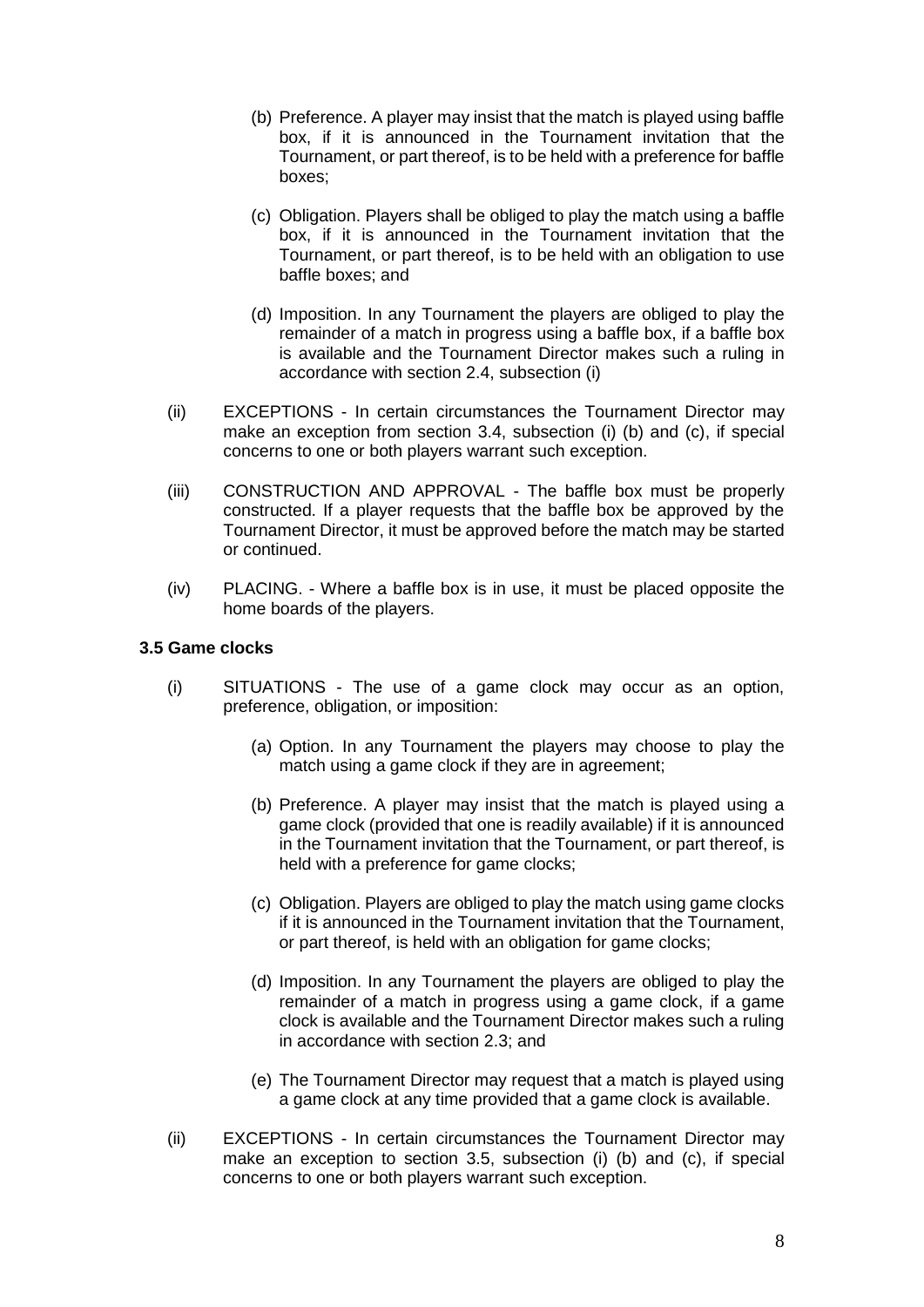- (b) Preference. A player may insist that the match is played using baffle box, if it is announced in the Tournament invitation that the Tournament, or part thereof, is to be held with a preference for baffle boxes;
- (c) Obligation. Players shall be obliged to play the match using a baffle box, if it is announced in the Tournament invitation that the Tournament, or part thereof, is to be held with an obligation to use baffle boxes; and
- (d) Imposition. In any Tournament the players are obliged to play the remainder of a match in progress using a baffle box, if a baffle box is available and the Tournament Director makes such a ruling in accordance with section 2.4, subsection (i)
- (ii) EXCEPTIONS In certain circumstances the Tournament Director may make an exception from section 3.4, subsection (i) (b) and (c), if special concerns to one or both players warrant such exception.
- (iii) CONSTRUCTION AND APPROVAL The baffle box must be properly constructed. If a player requests that the baffle box be approved by the Tournament Director, it must be approved before the match may be started or continued.
- (iv) PLACING. Where a baffle box is in use, it must be placed opposite the home boards of the players.

#### **3.5 Game clocks**

- <span id="page-7-0"></span>(i) SITUATIONS - The use of a game clock may occur as an option, preference, obligation, or imposition:
	- (a) Option. In any Tournament the players may choose to play the match using a game clock if they are in agreement;
	- (b) Preference. A player may insist that the match is played using a game clock (provided that one is readily available) if it is announced in the Tournament invitation that the Tournament, or part thereof, is held with a preference for game clocks:
	- (c) Obligation. Players are obliged to play the match using game clocks if it is announced in the Tournament invitation that the Tournament, or part thereof, is held with an obligation for game clocks;
	- (d) Imposition. In any Tournament the players are obliged to play the remainder of a match in progress using a game clock, if a game clock is available and the Tournament Director makes such a ruling in accordance with section 2.3; and
	- (e) The Tournament Director may request that a match is played using a game clock at any time provided that a game clock is available.
- (ii) EXCEPTIONS In certain circumstances the Tournament Director may make an exception to section 3.5, subsection (i) (b) and (c), if special concerns to one or both players warrant such exception.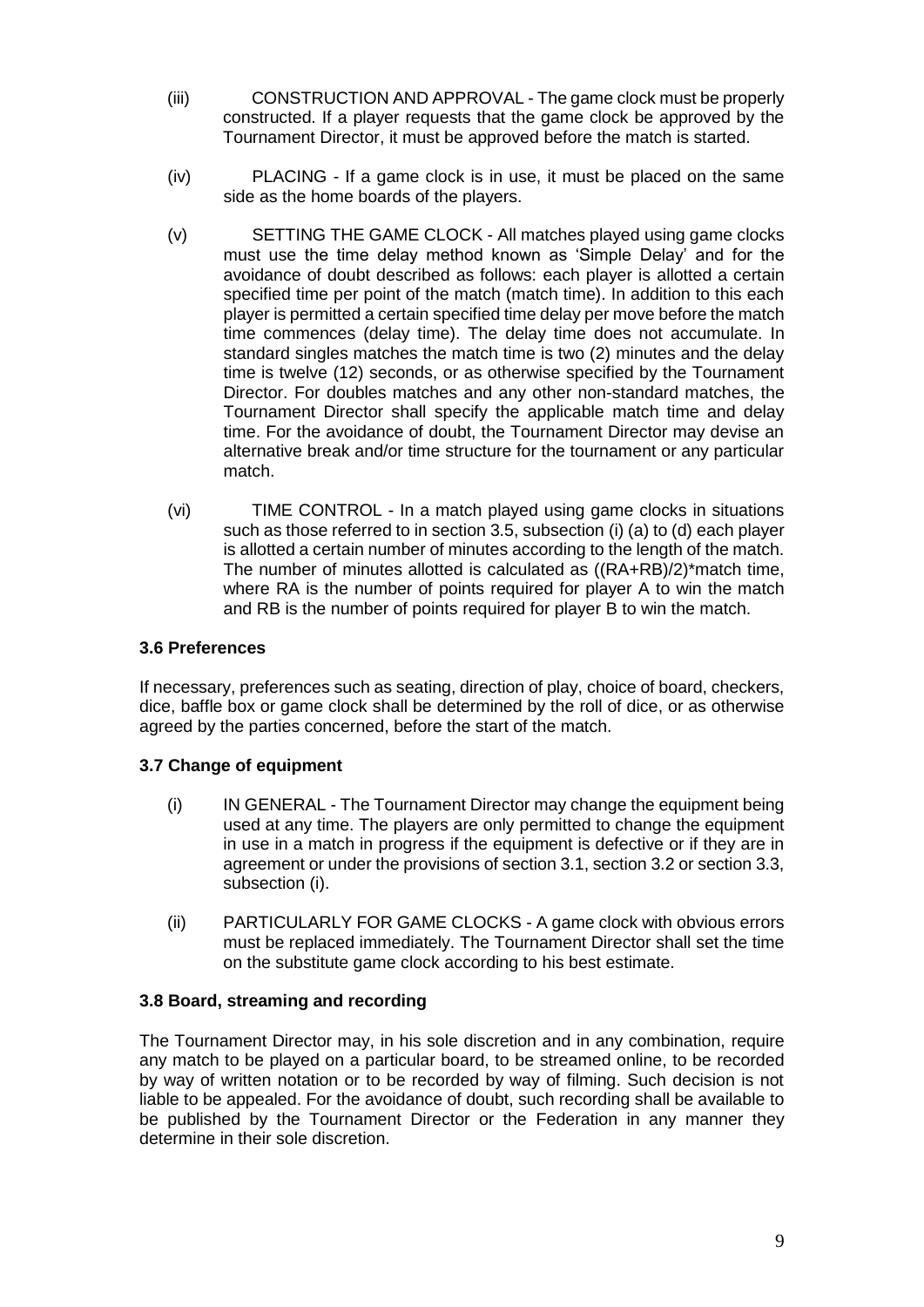- (iii) CONSTRUCTION AND APPROVAL The game clock must be properly constructed. If a player requests that the game clock be approved by the Tournament Director, it must be approved before the match is started.
- (iv) PLACING If a game clock is in use, it must be placed on the same side as the home boards of the players.
- (v) SETTING THE GAME CLOCK All matches played using game clocks must use the time delay method known as 'Simple Delay' and for the avoidance of doubt described as follows: each player is allotted a certain specified time per point of the match (match time). In addition to this each player is permitted a certain specified time delay per move before the match time commences (delay time). The delay time does not accumulate. In standard singles matches the match time is two (2) minutes and the delay time is twelve (12) seconds, or as otherwise specified by the Tournament Director. For doubles matches and any other non-standard matches, the Tournament Director shall specify the applicable match time and delay time. For the avoidance of doubt, the Tournament Director may devise an alternative break and/or time structure for the tournament or any particular match.
- (vi) TIME CONTROL In a match played using game clocks in situations such as those referred to in section 3.5, subsection (i) (a) to (d) each player is allotted a certain number of minutes according to the length of the match. The number of minutes allotted is calculated as ((RA+RB)/2)\*match time, where RA is the number of points required for player A to win the match and RB is the number of points required for player B to win the match.

#### <span id="page-8-0"></span>**3.6 Preferences**

If necessary, preferences such as seating, direction of play, choice of board, checkers, dice, baffle box or game clock shall be determined by the roll of dice, or as otherwise agreed by the parties concerned, before the start of the match.

#### **3.7 Change of equipment**

- <span id="page-8-1"></span>(i) IN GENERAL - The Tournament Director may change the equipment being used at any time. The players are only permitted to change the equipment in use in a match in progress if the equipment is defective or if they are in agreement or under the provisions of section 3.1, section 3.2 or section 3.3, subsection (i).
- <span id="page-8-2"></span>(ii) PARTICULARLY FOR GAME CLOCKS - A game clock with obvious errors must be replaced immediately. The Tournament Director shall set the time on the substitute game clock according to his best estimate.

#### **3.8 Board, streaming and recording**

The Tournament Director may, in his sole discretion and in any combination, require any match to be played on a particular board, to be streamed online, to be recorded by way of written notation or to be recorded by way of filming. Such decision is not liable to be appealed. For the avoidance of doubt, such recording shall be available to be published by the Tournament Director or the Federation in any manner they determine in their sole discretion.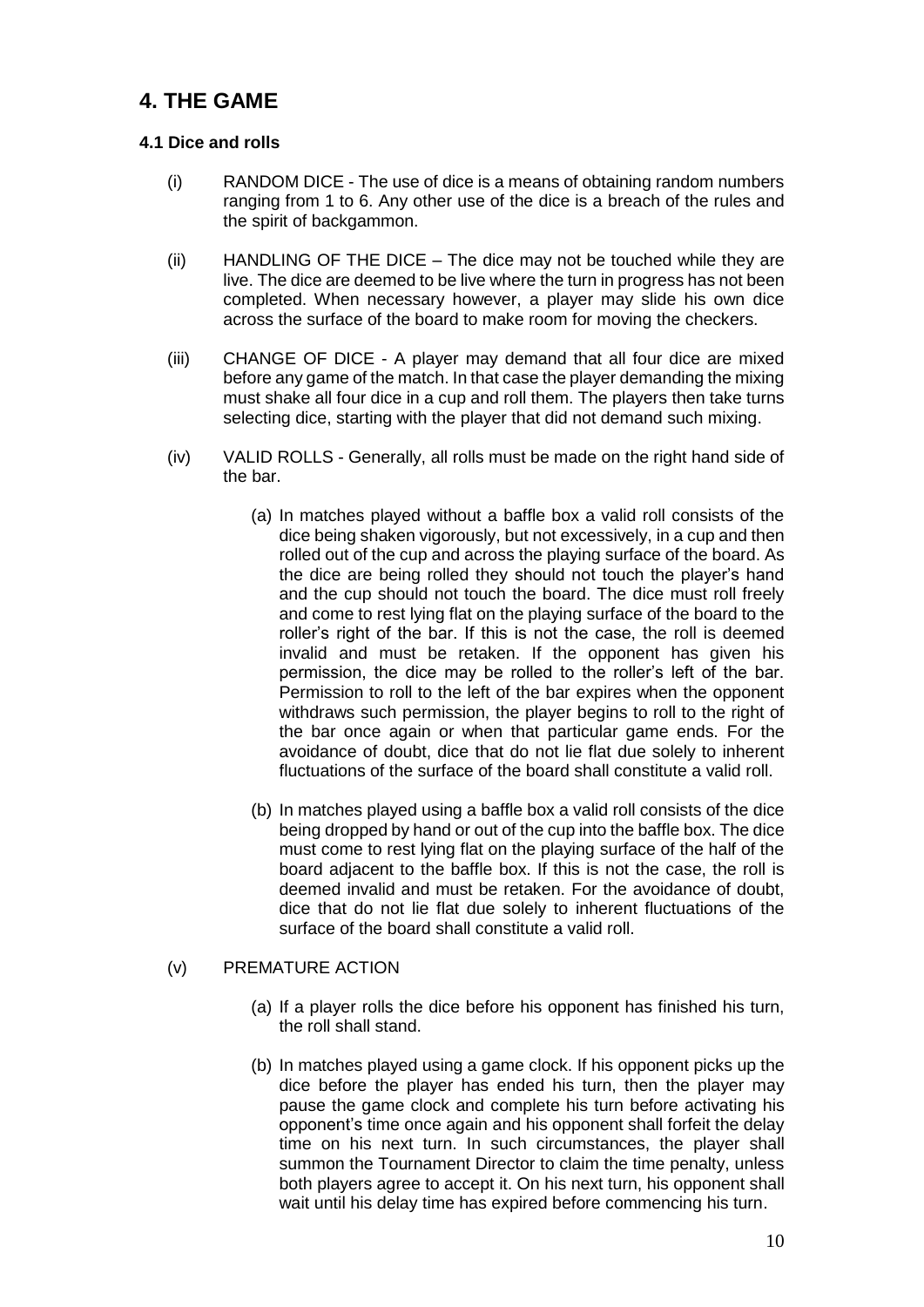# <span id="page-9-0"></span>**4. THE GAME**

# **4.1 Dice and rolls**

- <span id="page-9-1"></span>(i) RANDOM DICE - The use of dice is a means of obtaining random numbers ranging from 1 to 6. Any other use of the dice is a breach of the rules and the spirit of backgammon.
- (ii) HANDLING OF THE DICE The dice may not be touched while they are live. The dice are deemed to be live where the turn in progress has not been completed. When necessary however, a player may slide his own dice across the surface of the board to make room for moving the checkers.
- (iii) CHANGE OF DICE A player may demand that all four dice are mixed before any game of the match. In that case the player demanding the mixing must shake all four dice in a cup and roll them. The players then take turns selecting dice, starting with the player that did not demand such mixing.
- (iv) VALID ROLLS Generally, all rolls must be made on the right hand side of the bar.
	- (a) In matches played without a baffle box a valid roll consists of the dice being shaken vigorously, but not excessively, in a cup and then rolled out of the cup and across the playing surface of the board. As the dice are being rolled they should not touch the player's hand and the cup should not touch the board. The dice must roll freely and come to rest lying flat on the playing surface of the board to the roller's right of the bar. If this is not the case, the roll is deemed invalid and must be retaken. If the opponent has given his permission, the dice may be rolled to the roller's left of the bar. Permission to roll to the left of the bar expires when the opponent withdraws such permission, the player begins to roll to the right of the bar once again or when that particular game ends. For the avoidance of doubt, dice that do not lie flat due solely to inherent fluctuations of the surface of the board shall constitute a valid roll.
	- (b) In matches played using a baffle box a valid roll consists of the dice being dropped by hand or out of the cup into the baffle box. The dice must come to rest lying flat on the playing surface of the half of the board adjacent to the baffle box. If this is not the case, the roll is deemed invalid and must be retaken. For the avoidance of doubt, dice that do not lie flat due solely to inherent fluctuations of the surface of the board shall constitute a valid roll.

### (v) PREMATURE ACTION

- (a) If a player rolls the dice before his opponent has finished his turn, the roll shall stand.
- (b) In matches played using a game clock. If his opponent picks up the dice before the player has ended his turn, then the player may pause the game clock and complete his turn before activating his opponent's time once again and his opponent shall forfeit the delay time on his next turn. In such circumstances, the player shall summon the Tournament Director to claim the time penalty, unless both players agree to accept it. On his next turn, his opponent shall wait until his delay time has expired before commencing his turn.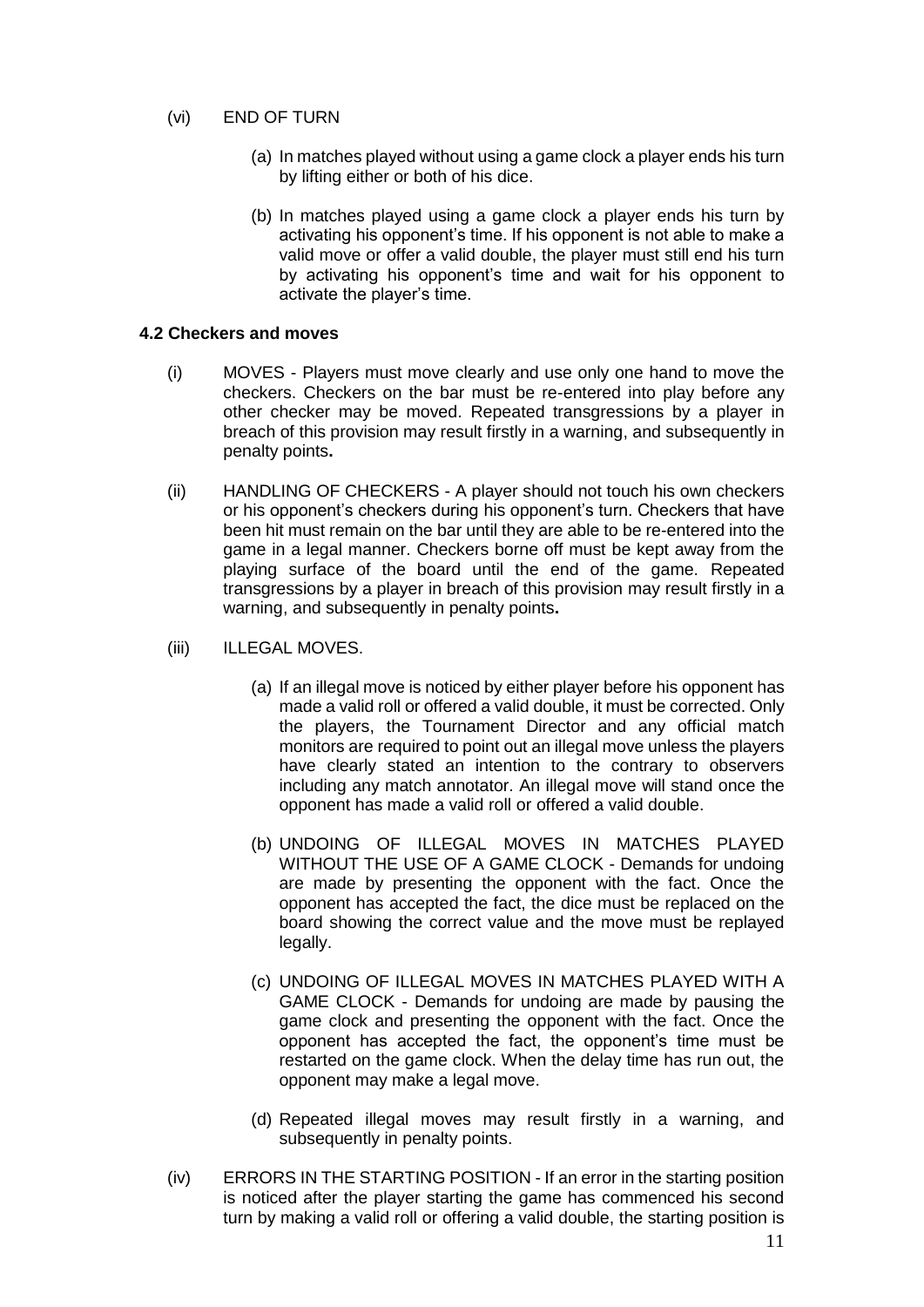#### (vi) END OF TURN

- (a) In matches played without using a game clock a player ends his turn by lifting either or both of his dice.
- <span id="page-10-0"></span>(b) In matches played using a game clock a player ends his turn by activating his opponent's time. If his opponent is not able to make a valid move or offer a valid double, the player must still end his turn by activating his opponent's time and wait for his opponent to activate the player's time.

#### **4.2 Checkers and moves**

- (i) MOVES Players must move clearly and use only one hand to move the checkers. Checkers on the bar must be re-entered into play before any other checker may be moved. Repeated transgressions by a player in breach of this provision may result firstly in a warning, and subsequently in penalty points**.**
- (ii) HANDLING OF CHECKERS A player should not touch his own checkers or his opponent's checkers during his opponent's turn. Checkers that have been hit must remain on the bar until they are able to be re-entered into the game in a legal manner. Checkers borne off must be kept away from the playing surface of the board until the end of the game. Repeated transgressions by a player in breach of this provision may result firstly in a warning, and subsequently in penalty points**.**
- (iii) ILLEGAL MOVES.
	- (a) If an illegal move is noticed by either player before his opponent has made a valid roll or offered a valid double, it must be corrected. Only the players, the Tournament Director and any official match monitors are required to point out an illegal move unless the players have clearly stated an intention to the contrary to observers including any match annotator. An illegal move will stand once the opponent has made a valid roll or offered a valid double.
	- (b) UNDOING OF ILLEGAL MOVES IN MATCHES PLAYED WITHOUT THE USE OF A GAME CLOCK - Demands for undoing are made by presenting the opponent with the fact. Once the opponent has accepted the fact, the dice must be replaced on the board showing the correct value and the move must be replayed legally.
	- (c) UNDOING OF ILLEGAL MOVES IN MATCHES PLAYED WITH A GAME CLOCK - Demands for undoing are made by pausing the game clock and presenting the opponent with the fact. Once the opponent has accepted the fact, the opponent's time must be restarted on the game clock. When the delay time has run out, the opponent may make a legal move.
	- (d) Repeated illegal moves may result firstly in a warning, and subsequently in penalty points.
- (iv) ERRORS IN THE STARTING POSITION If an error in the starting position is noticed after the player starting the game has commenced his second turn by making a valid roll or offering a valid double, the starting position is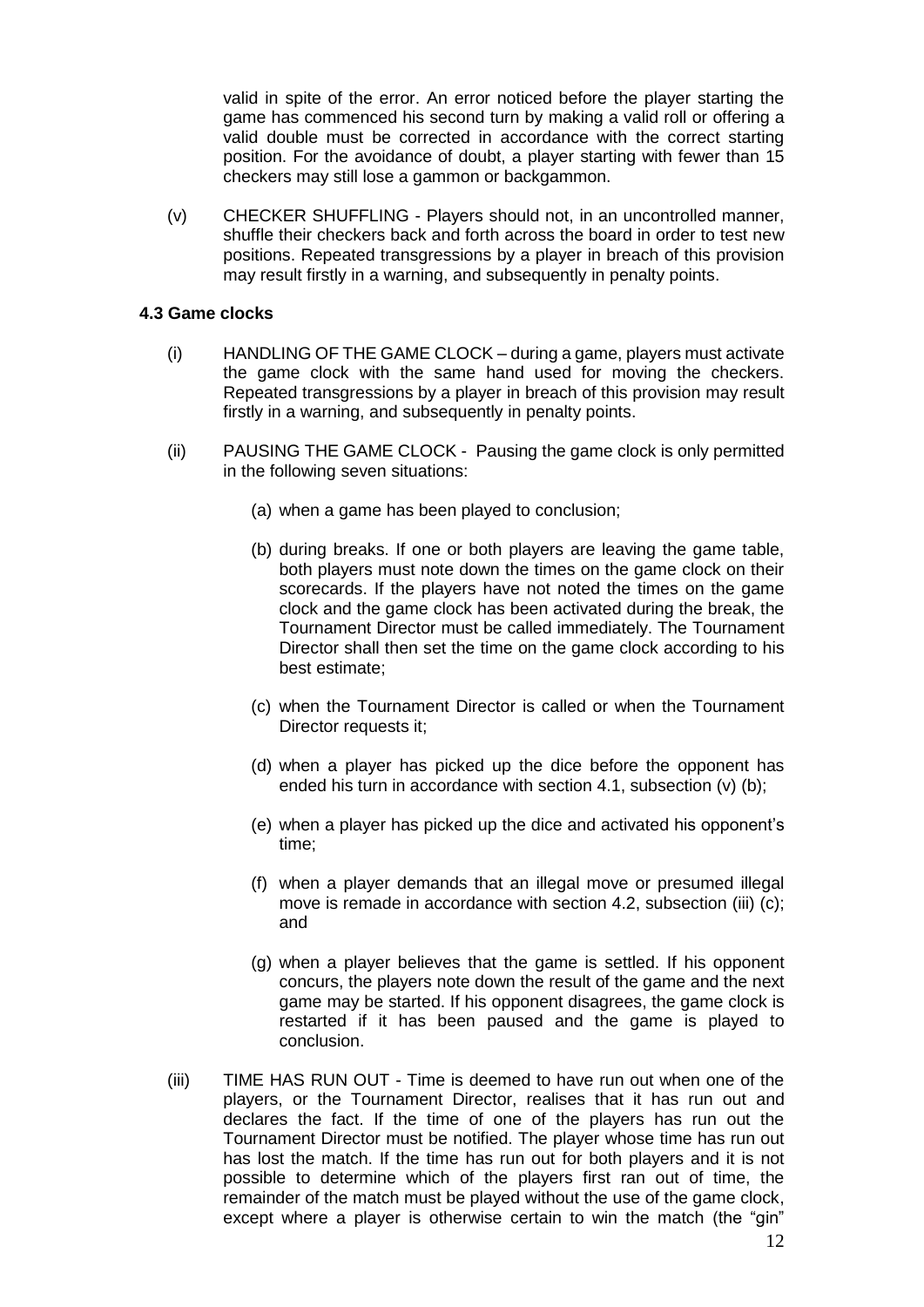valid in spite of the error. An error noticed before the player starting the game has commenced his second turn by making a valid roll or offering a valid double must be corrected in accordance with the correct starting position. For the avoidance of doubt, a player starting with fewer than 15 checkers may still lose a gammon or backgammon.

(v) CHECKER SHUFFLING - Players should not, in an uncontrolled manner, shuffle their checkers back and forth across the board in order to test new positions. Repeated transgressions by a player in breach of this provision may result firstly in a warning, and subsequently in penalty points.

#### **4.3 Game clocks**

- <span id="page-11-0"></span>(i) HANDLING OF THE GAME CLOCK – during a game, players must activate the game clock with the same hand used for moving the checkers. Repeated transgressions by a player in breach of this provision may result firstly in a warning, and subsequently in penalty points.
- (ii) PAUSING THE GAME CLOCK Pausing the game clock is only permitted in the following seven situations:
	- (a) when a game has been played to conclusion;
	- (b) during breaks. If one or both players are leaving the game table, both players must note down the times on the game clock on their scorecards. If the players have not noted the times on the game clock and the game clock has been activated during the break, the Tournament Director must be called immediately. The Tournament Director shall then set the time on the game clock according to his best estimate;
	- (c) when the Tournament Director is called or when the Tournament Director requests it:
	- (d) when a player has picked up the dice before the opponent has ended his turn in accordance with section 4.1, subsection (v) (b);
	- (e) when a player has picked up the dice and activated his opponent's time;
	- (f) when a player demands that an illegal move or presumed illegal move is remade in accordance with section 4.2, subsection (iii) (c); and
	- (g) when a player believes that the game is settled. If his opponent concurs, the players note down the result of the game and the next game may be started. If his opponent disagrees, the game clock is restarted if it has been paused and the game is played to conclusion.
- (iii) TIME HAS RUN OUT Time is deemed to have run out when one of the players, or the Tournament Director, realises that it has run out and declares the fact. If the time of one of the players has run out the Tournament Director must be notified. The player whose time has run out has lost the match. If the time has run out for both players and it is not possible to determine which of the players first ran out of time, the remainder of the match must be played without the use of the game clock, except where a player is otherwise certain to win the match (the "gin"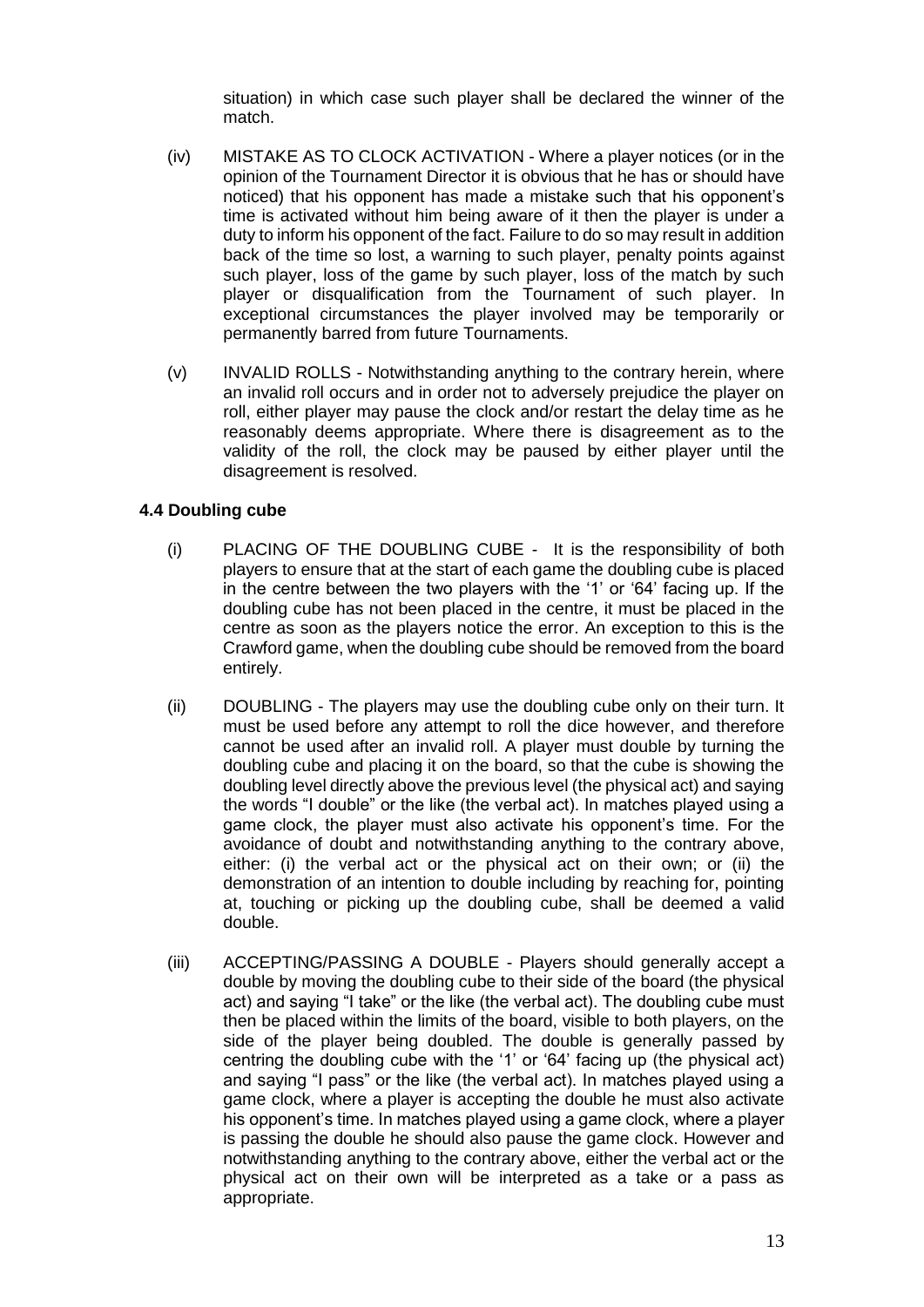situation) in which case such player shall be declared the winner of the match.

- (iv) MISTAKE AS TO CLOCK ACTIVATION Where a player notices (or in the opinion of the Tournament Director it is obvious that he has or should have noticed) that his opponent has made a mistake such that his opponent's time is activated without him being aware of it then the player is under a duty to inform his opponent of the fact. Failure to do so may result in addition back of the time so lost, a warning to such player, penalty points against such player, loss of the game by such player, loss of the match by such player or disqualification from the Tournament of such player. In exceptional circumstances the player involved may be temporarily or permanently barred from future Tournaments.
- (v) INVALID ROLLS Notwithstanding anything to the contrary herein, where an invalid roll occurs and in order not to adversely prejudice the player on roll, either player may pause the clock and/or restart the delay time as he reasonably deems appropriate. Where there is disagreement as to the validity of the roll, the clock may be paused by either player until the disagreement is resolved.

#### **4.4 Doubling cube**

- <span id="page-12-0"></span>(i) PLACING OF THE DOUBLING CUBE - It is the responsibility of both players to ensure that at the start of each game the doubling cube is placed in the centre between the two players with the '1' or '64' facing up. If the doubling cube has not been placed in the centre, it must be placed in the centre as soon as the players notice the error. An exception to this is the Crawford game, when the doubling cube should be removed from the board entirely.
- (ii) DOUBLING The players may use the doubling cube only on their turn. It must be used before any attempt to roll the dice however, and therefore cannot be used after an invalid roll. A player must double by turning the doubling cube and placing it on the board, so that the cube is showing the doubling level directly above the previous level (the physical act) and saying the words "I double" or the like (the verbal act). In matches played using a game clock, the player must also activate his opponent's time. For the avoidance of doubt and notwithstanding anything to the contrary above, either: (i) the verbal act or the physical act on their own; or (ii) the demonstration of an intention to double including by reaching for, pointing at, touching or picking up the doubling cube, shall be deemed a valid double.
- (iii) ACCEPTING/PASSING A DOUBLE Players should generally accept a double by moving the doubling cube to their side of the board (the physical act) and saying "I take" or the like (the verbal act). The doubling cube must then be placed within the limits of the board, visible to both players, on the side of the player being doubled. The double is generally passed by centring the doubling cube with the '1' or '64' facing up (the physical act) and saying "I pass" or the like (the verbal act). In matches played using a game clock, where a player is accepting the double he must also activate his opponent's time. In matches played using a game clock, where a player is passing the double he should also pause the game clock. However and notwithstanding anything to the contrary above, either the verbal act or the physical act on their own will be interpreted as a take or a pass as appropriate.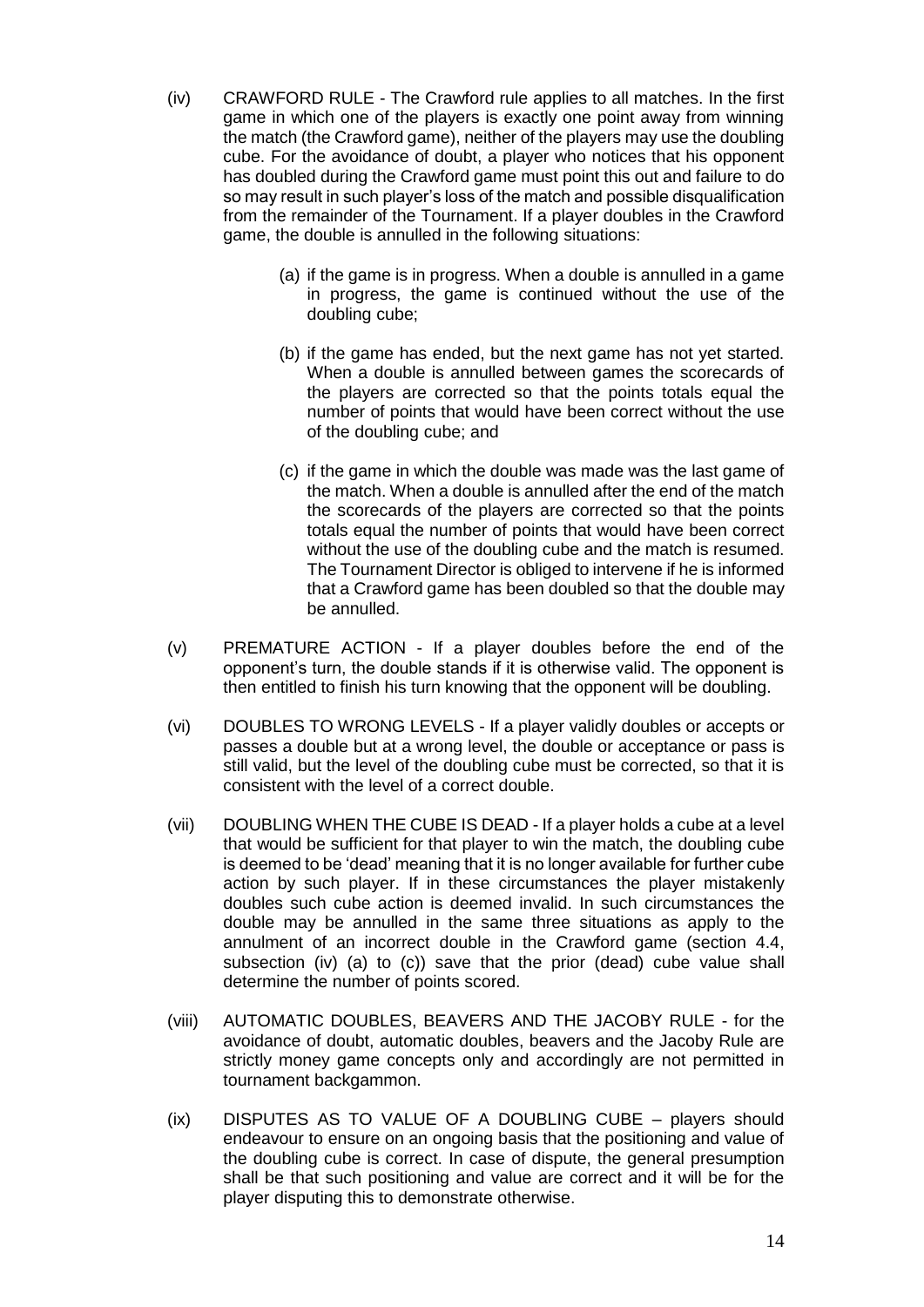- (iv) CRAWFORD RULE The Crawford rule applies to all matches. In the first game in which one of the players is exactly one point away from winning the match (the Crawford game), neither of the players may use the doubling cube. For the avoidance of doubt, a player who notices that his opponent has doubled during the Crawford game must point this out and failure to do so may result in such player's loss of the match and possible disqualification from the remainder of the Tournament. If a player doubles in the Crawford game, the double is annulled in the following situations:
	- (a) if the game is in progress. When a double is annulled in a game in progress, the game is continued without the use of the doubling cube;
	- (b) if the game has ended, but the next game has not yet started. When a double is annulled between games the scorecards of the players are corrected so that the points totals equal the number of points that would have been correct without the use of the doubling cube; and
	- (c) if the game in which the double was made was the last game of the match. When a double is annulled after the end of the match the scorecards of the players are corrected so that the points totals equal the number of points that would have been correct without the use of the doubling cube and the match is resumed. The Tournament Director is obliged to intervene if he is informed that a Crawford game has been doubled so that the double may be annulled.
- (v) PREMATURE ACTION If a player doubles before the end of the opponent's turn, the double stands if it is otherwise valid. The opponent is then entitled to finish his turn knowing that the opponent will be doubling.
- (vi) DOUBLES TO WRONG LEVELS If a player validly doubles or accepts or passes a double but at a wrong level, the double or acceptance or pass is still valid, but the level of the doubling cube must be corrected, so that it is consistent with the level of a correct double.
- (vii) DOUBLING WHEN THE CUBE IS DEAD If a player holds a cube at a level that would be sufficient for that player to win the match, the doubling cube is deemed to be 'dead' meaning that it is no longer available for further cube action by such player. If in these circumstances the player mistakenly doubles such cube action is deemed invalid. In such circumstances the double may be annulled in the same three situations as apply to the annulment of an incorrect double in the Crawford game (section 4.4, subsection (iv) (a) to (c)) save that the prior (dead) cube value shall determine the number of points scored.
- (viii) AUTOMATIC DOUBLES, BEAVERS AND THE JACOBY RULE for the avoidance of doubt, automatic doubles, beavers and the Jacoby Rule are strictly money game concepts only and accordingly are not permitted in tournament backgammon.
- (ix) DISPUTES AS TO VALUE OF A DOUBLING CUBE players should endeavour to ensure on an ongoing basis that the positioning and value of the doubling cube is correct. In case of dispute, the general presumption shall be that such positioning and value are correct and it will be for the player disputing this to demonstrate otherwise.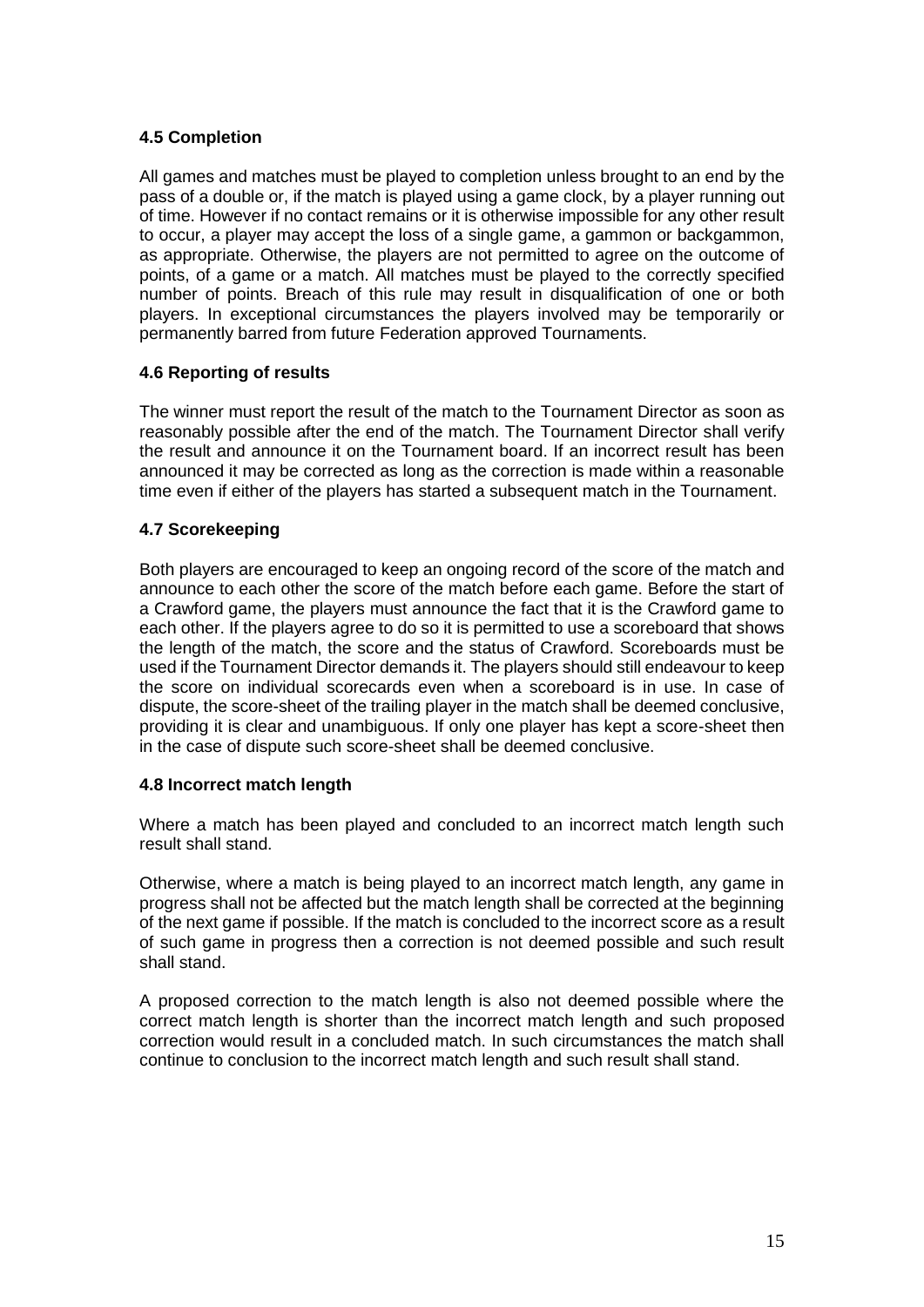### <span id="page-14-0"></span>**4.5 Completion**

All games and matches must be played to completion unless brought to an end by the pass of a double or, if the match is played using a game clock, by a player running out of time. However if no contact remains or it is otherwise impossible for any other result to occur, a player may accept the loss of a single game, a gammon or backgammon, as appropriate. Otherwise, the players are not permitted to agree on the outcome of points, of a game or a match. All matches must be played to the correctly specified number of points. Breach of this rule may result in disqualification of one or both players. In exceptional circumstances the players involved may be temporarily or permanently barred from future Federation approved Tournaments.

#### <span id="page-14-1"></span>**4.6 Reporting of results**

The winner must report the result of the match to the Tournament Director as soon as reasonably possible after the end of the match. The Tournament Director shall verify the result and announce it on the Tournament board. If an incorrect result has been announced it may be corrected as long as the correction is made within a reasonable time even if either of the players has started a subsequent match in the Tournament.

#### <span id="page-14-2"></span>**4.7 Scorekeeping**

Both players are encouraged to keep an ongoing record of the score of the match and announce to each other the score of the match before each game. Before the start of a Crawford game, the players must announce the fact that it is the Crawford game to each other. If the players agree to do so it is permitted to use a scoreboard that shows the length of the match, the score and the status of Crawford. Scoreboards must be used if the Tournament Director demands it. The players should still endeavour to keep the score on individual scorecards even when a scoreboard is in use. In case of dispute, the score-sheet of the trailing player in the match shall be deemed conclusive, providing it is clear and unambiguous. If only one player has kept a score-sheet then in the case of dispute such score-sheet shall be deemed conclusive.

#### <span id="page-14-3"></span>**4.8 Incorrect match length**

Where a match has been played and concluded to an incorrect match length such result shall stand.

Otherwise, where a match is being played to an incorrect match length, any game in progress shall not be affected but the match length shall be corrected at the beginning of the next game if possible. If the match is concluded to the incorrect score as a result of such game in progress then a correction is not deemed possible and such result shall stand.

A proposed correction to the match length is also not deemed possible where the correct match length is shorter than the incorrect match length and such proposed correction would result in a concluded match. In such circumstances the match shall continue to conclusion to the incorrect match length and such result shall stand.